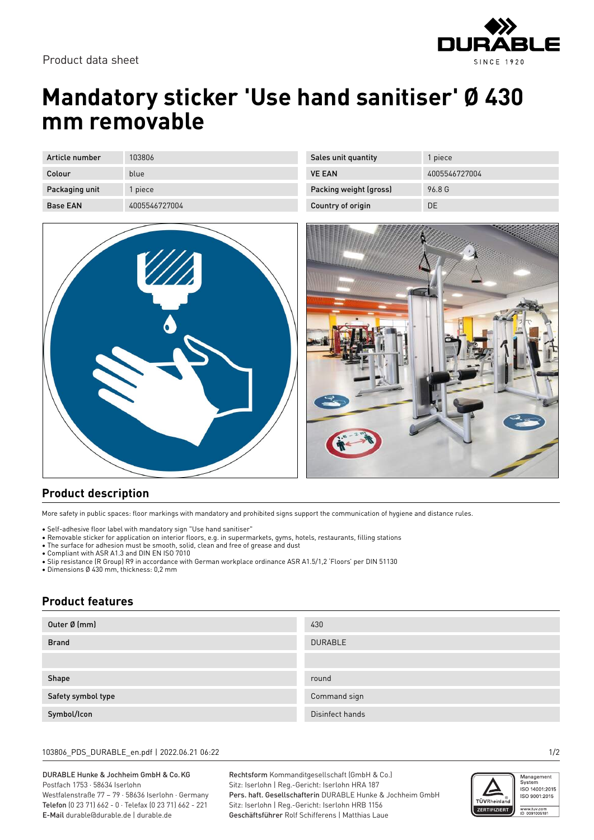

# **Mandatory sticker 'Use hand sanitiser' Ø 430 mm removable**

| Article number  | 103806        |
|-----------------|---------------|
| Colour          | blue          |
| Packaging unit  | 1 piece       |
| <b>Base FAN</b> | 4005546727004 |

| //// |  |
|------|--|
|      |  |
|      |  |

| Sales unit quantity    | 1 piece       |
|------------------------|---------------|
| <b>VE FAN</b>          | 4005546727004 |
| Packing weight (gross) | 96.8 G        |
| Country of origin      | DF            |



## **Product description**

More safety in public spaces: floor markings with mandatory and prohibited signs support the communication of hygiene and distance rules.

• Self-adhesive floor label with mandatory sign "Use hand sanitiser"

- Removable sticker for application on interior floors, e.g. in supermarkets, gyms, hotels, restaurants, filling stations
- The surface for adhesion must be smooth, solid, clean and free of grease and dust
- Compliant with ASR A1.3 and DIN EN ISO 7010
- Slip resistance (R Group) R9 in accordance with German workplace ordinance ASR A1.5/1,2 'Floors' per DIN 51130

• Dimensions Ø 430 mm, thickness: 0,2 mm

### **Product features**

| Outer Ø (mm)       | 430             |
|--------------------|-----------------|
| <b>Brand</b>       | <b>DURABLE</b>  |
|                    |                 |
| Shape              | round           |
| Safety symbol type | Command sign    |
| Symbol/Icon        | Disinfect hands |

#### 103806\_PDS\_DURABLE\_en.pdf | 2022.06.21 06:22 1/2

### DURABLE Hunke & Jochheim GmbH & Co.KG Postfach 1753 · 58634 Iserlohn

Westfalenstraße 77 – 79 · 58636 Iserlohn · Germany Telefon (0 23 71) 662 - 0 · Telefax (0 23 71) 662 - 221 E-Mail durable@durable.de | durable.de

Rechtsform Kommanditgesellschaft (GmbH & Co.) Sitz: Iserlohn | Reg.-Gericht: Iserlohn HRA 187 Pers. haft. Gesellschafterin DURABLE Hunke & Jochheim GmbH Sitz: Iserlohn | Reg.-Gericht: Iserlohn HRB 1156 Geschäftsführer Rolf Schifferens | Matthias Laue